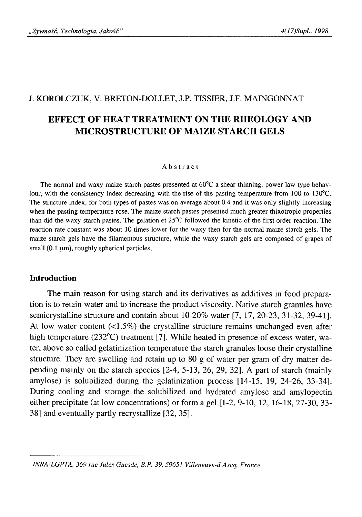# J. KOROLCZUK, V. BRETON-DOLLET, J.P. TISSIER, J.F. MAINGONNAT

# **EFFECT OF HEAT TREATMENT ON THE RHEOLOGY AND MICROSTRUCTURE OF MAIZE STARCH GELS**

#### Abstract

The normal and waxy maize starch pastes presented at 60°C a shear thinning, power law type behaviour, with the consistency index decreasing with the rise of the pasting temperature from 100 to 130°C. The structure index, for both types of pastes was on average about 0.4 and it was only slightly increasing when the pasting temperature rose. The maize starch pastes presented much greater thixotropic properties than did the waxy starch pastes. The gelation et 25°C followed the kinetic of the first order reaction. The reaction rate constant was about 10 times lower for the waxy then for the normal maize starch gels. The maize starch gels have the filamentous structure, while the waxy starch gels are composed of grapes of small  $(0.1 \mu m)$ , roughly spherical particles.

#### **Introduction**

The main reason for using starch and its derivatives as additives in food preparation is to retain water and to increase the product viscosity. Native starch granules have semicrystalline structure and contain about 10-20% water [7, 17, 20-23, 31-32, 39-41]. At low water content  $\langle$ <1.5%) the crystalline structure remains unchanged even after high temperature (232°C) treatment [7]. While heated in presence of excess water, water, above so called gelatinization temperature the starch granules loose their crystalline structure. They are swelling and retain up to 80 g of water per gram of dry matter depending mainly on the starch species [2-4, 5-13, 26, 29, 32]. A part of starch (mainly amylose) is solubilized during the gelatinization process [14-15, 19, 24-26, 33-34]. During cooling and storage the solubilized and hydrated amylose and amylopectin either precipitate (at low concentrations) or form a gel [1-2, 9-10, 12, 16-18, 27-30, 33- 38] and eventually partly recrystallize [32, 35].

*INRA-LGPTA, 369 rue Jules Guesde, B.P. 39, 59651 Villeneuve-d'Ascq, France.*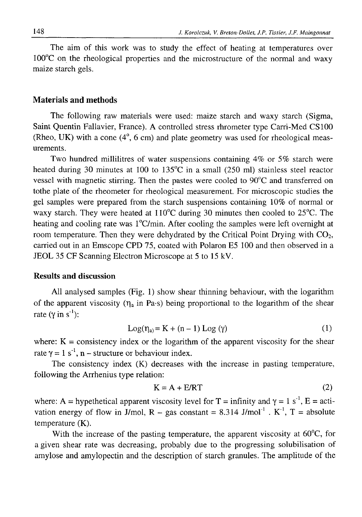The aim of this work was to study the effect of heating at temperatures over 100°C on the rheological properties and the microstructure of the normal and waxy maize starch gels.

# **Materials and methods**

The following raw materials were used: maize starch and waxy starch (Sigma, Saint Quentin Fallavier, France). A controlled stress rhrometer type Carri-Med CS100 (Rheo, UK) with a cone (4°, 6 cm) and plate geometry was used for rheological measurements.

Two hundred millilitres of water suspensions containing 4% or 5% starch were heated during 30 minutes at 100 to 135°C in a small (250 ml) stainless steel reactor vessel with magnetic stirring. Then the pastes were cooled to 90°C and transferred on tothe plate of the rheometer for rheological measurement. For microscopic studies the gel samples were prepared from the starch suspensions containing 10% of normal or waxy starch. They were heated at 110°C during 30 minutes then cooled to 25°C. The heating and cooling rate was  $1^{\circ}$ C/min. After cooling the samples were left overnight at room temperature. Then they were dehydrated by the Critical Point Drying with  $CO<sub>2</sub>$ , carried out in an Emscope CPD 75, coated with Polaron E5 100 and then observed in a JEOL 35 CF Scanning Electron Microscope at 5 to 15 kV.

## **Results and discussion**

All analysed samples (Fig. 1) show shear thinning behaviour, with the logarithm of the apparent viscosity ( $\eta_a$  in Pa-s) being proportional to the logarithm of the shear rate (γ in s<sup>-1</sup>):

$$
Log(\eta_a) = K + (n-1) Log(\gamma)
$$
 (1)

where:  $K =$  consistency index or the logarithm of the apparent viscosity for the shear rate  $\gamma = 1$  s<sup>-1</sup>, n – structure or behaviour index.

The consistency index (K) decreases with the increase in pasting temperature, following the Arrhenius type relation:

$$
K = A + E/RT
$$
 (2)

where: A = hypethetical apparent viscosity level for T = infinity and  $\gamma = 1$  s<sup>-1</sup>, E = activation energy of flow in J/mol, R - gas constant =  $8.314$  J/mol<sup>-1</sup>. K<sup>-1</sup>, T = absolute temperature (K).

With the increase of the pasting temperature, the apparent viscosity at  $60^{\circ}$ C, for a given shear rate was decreasing, probably due to the progressing solubilisation of amylose and amylopectin and the description of starch granules. The amplitude of the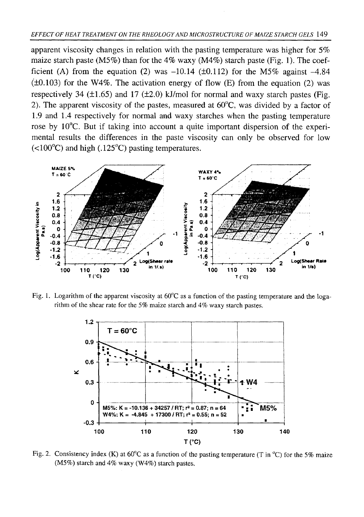apparent viscosity changes in relation with the pasting temperature was higher for 5% maize starch paste (M5%) than for the 4% waxy (M4%) starch paste (Fig. 1). The coefficient (A) from the equation (2) was  $-10.14$  ( $\pm 0.112$ ) for the M5% against  $-4.84$  $(±0.103)$  for the W4%. The activation energy of flow (E) from the equation (2) was respectively 34 ( $\pm$ 1.65) and 17 ( $\pm$ 2.0) kJ/mol for normal and waxy starch pastes (Fig. 2). The apparent viscosity of the pastes, measured at 60°C, was divided by a factor of 1.9 and 1.4 respectively for normal and waxy starches when the pasting temperature rose by 10°C. But if taking into account a quite important dispersion of the experimental results the differences in the paste viscosity can only be observed for low  $(<100^{\circ}$ C) and high (.125<sup>°</sup>C) pasting temperatures.



Fig. 1. Logarithm of the apparent viscosity at  $60^{\circ}$ C as a function of the pasting temperature and the logarithm of the shear rate for the 5% maize starch and *4%* waxy starch pastes.



Fig. 2. Consistency index (K) at  $60^{\circ}$ C as a function of the pasting temperature (T in  $^{\circ}$ C) for the 5% maize (M5%) starch and 4% waxy (W4%) starch pastes.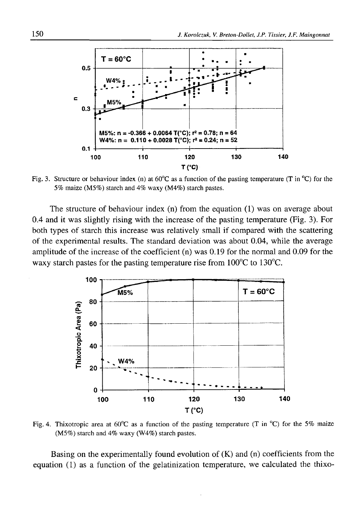

Fig. 3. Structure or behaviour index (n) at  $60^{\circ}$ C as a function of the pasting temperature (T in  $^{\circ}$ C) for the 5% maize (M5%) starch and 4% waxy (M4%) starch pastes.

The structure of behaviour index (n) from the equation (1) was on average about 0.4 and it was slightly rising with the increase of the pasting temperature (Fig. 3). For both types of starch this increase was relatively small if compared with the scattering of the experimental results. The standard deviation was about 0.04, while the average amplitude of the increase of the coefficient (n) was 0.19 for the normal and 0.09 for the waxy starch pastes for the pasting temperature rise from 100°C to 130°C.



Fig. 4. Thixotropic area at  $60^{\circ}$ C as a function of the pasting temperature (T in  $^{\circ}$ C) for the 5% maize (M5%) starch and 4% waxy (W4%) starch pastes.

Basing on the experimentally found evolution of  $(K)$  and  $(n)$  coefficients from the equation (1) as a function of the gelatinization temperature, we calculated the thixo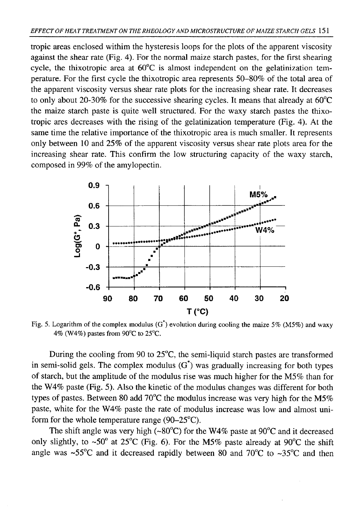tropic areas enclosed withim the hysteresis loops for the plots of the apparent viscosity against the shear rate (Fig. 4). For the normal maize starch pastes, for the first shearing cycle, the thixotropic area at 60°C is almost independent on the gelatinization temperature. For the first cycle the thixotropic area represents 50-80% of the total area of the apparent viscosity versus shear rate plots for the increasing shear rate. It decreases to only about 20-30% for the successive shearing cycles. It means that already at 60°C the maize starch paste is quite well structured. For the waxy starch pastes the thixotropic ares decreases with the rising of the gelatinization temperature (Fig. 4). At the same time the relative importance of the thixotropic area is much smaller. It represents only between 10 and 25% of the apparent viscosity versus shear rate plots area for the increasing shear rate. This confirm the low structuring capacity of the waxy starch, composed in 99% of the amylopectin.

![](_page_4_Figure_2.jpeg)

Fig. 5. Logarithm of the complex modulus (G\*) evolution during cooling the maize *5%* (M5%) and waxy 4% (W4%) pastes from 90°C to 25°C.

During the cooling from 90 to 25°C, the semi-liquid starch pastes are transformed in semi-solid gels. The complex modulus  $(G^*)$  was gradually increasing for both types of starch, but the amplitude of the modulus rise was much higher for the M5% than for the W4% paste (Fig. 5). Also the kinetic of the modulus changes was different for both types of pastes. Between 80 add 70°C the modulus increase was very high for the M5% paste, white for the W4% paste the rate of modulus increase was low and almost uniform for the whole temperature range (90-25°C).

The shift angle was very high (~80°C) for the W4% paste at 90°C and it decreased only slightly, to ~50° at 25°C (Fig. 6). For the M5% paste already at 90°C the shift angle was ~55°C and it decreased rapidly between 80 and 70°C to ~35°C and then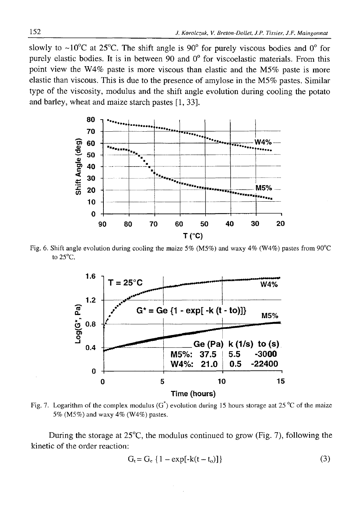slowly to  $\sim 10^{\circ}$ C at 25<sup>°</sup>C. The shift angle is 90<sup>°</sup> for purely viscous bodies and 0<sup>°</sup> for purely elastic bodies. It is in between 90 and 0° for viscoelastic materials. From this point view the W4% paste is more viscous than elastic and the M5% paste is more elastic than viscous. This is due to the presence of amylose in the M5% pastes. Similar type of the viscosity, modulus and the shift angle evolution during cooling the potato and barley, wheat and maize starch pastes [1, 33].

![](_page_5_Figure_2.jpeg)

Fig. 6. Shift angle evolution during cooling the maize 5% (M5%) and waxy 4% (W4%) pastes from 90°C to 25°C.

![](_page_5_Figure_4.jpeg)

Fig. 7. Logarithm of the complex modulus  $(G^*)$  evolution during 15 hours storage aat 25 °C of the maize 5% (M5%) and waxy 4% (W4%) pastes.

During the storage at  $25^{\circ}$ C, the modulus continued to grow (Fig. 7), following the kinetic of the order reaction:

$$
G_t = G_e \{ 1 - \exp[-k(t - t_o)] \}
$$
 (3)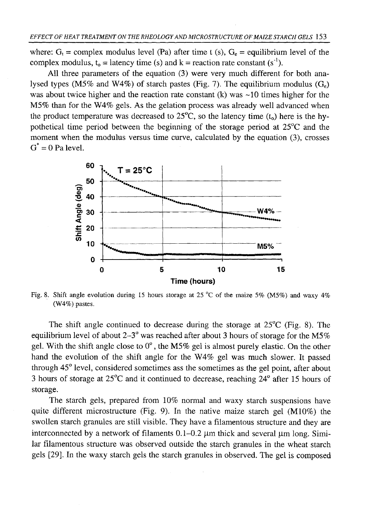where:  $G_t$  = complex modulus level (Pa) after time t (s),  $G_e$  = equilibrium level of the complex modulus,  $t_0 =$  latency time (s) and  $k =$  reaction rate constant (s<sup>-1</sup>).

All three parameters of the equation (3) were very much different for both analysed types (M5% and W4%) of starch pastes (Fig. 7). The equilibrium modulus  $(G_e)$ was about twice higher and the reaction rate constant  $(k)$  was  $\sim$ 10 times higher for the M5% than for the W4% gels. As the gelation process was already well advanced when the product temperature was decreased to  $25^{\circ}$ C, so the latency time (t<sub>o</sub>) here is the hypothetical time period between the beginning of the storage period at 25°C and the moment when the modulus versus time curve, calculated by the equation (3), crosses  $G^* = 0$  Pa level.

![](_page_6_Figure_3.jpeg)

Fig. 8. Shift angle evolution during 15 hours storage at 25 °C of the maize 5% (M5%) and waxy 4% (W4%) pastes.

The shift angle continued to decrease during the storage at  $25^{\circ}C$  (Fig. 8). The equilibrium level of about  $2-3^\circ$  was reached after about 3 hours of storage for the M5% gel. With the shift angle close to 0°, the M5% gel is almost purely elastic. On the other hand the evolution of the shift angle for the W4% gel was much slower. It passed through 45° level, considered sometimes ass the sometimes as the gel point, after about 3 hours of storage at 25°C and it continued to decrease, reaching 24° after 15 hours of storage.

The starch gels, prepared from 10% normal and waxy starch suspensions have quite different microstructure (Fig. 9). In the native maize starch gel (M10%) the swollen starch granules are still visible. They have a filamentous structure and they are interconnected by a network of filaments  $0.1-0.2$  μm thick and several μm long. Similar filamentous structure was observed outside the starch granules in the wheat starch gels [29]. In the waxy starch gels the starch granules in observed. The gel is composed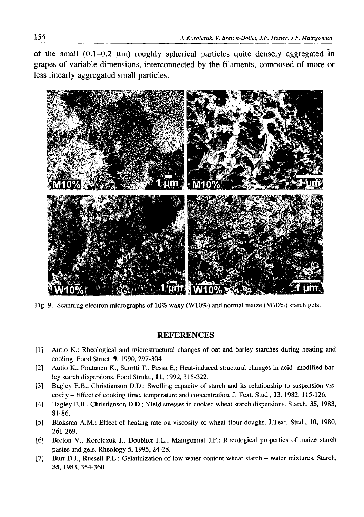of the small  $(0.1-0.2 \mu m)$  roughly spherical particles quite densely aggregated in grapes of variable dimensions, interconnected by the filaments, composed of more or less linearly aggregated small particles.

![](_page_7_Picture_2.jpeg)

Fig. 9. Scanning electron micrographs of 10% waxy (W10%) and normal maize (M10%) starch gels.

### REFERENCES

- [1] Autio Κ.: Rheological and microstructural changes of oat and barley starches during heating and cooling. Food Struct. 9, 1990, 297-304.
- [2] Autio K., Poutanen K., Suortti T., Pessa E.: Heat-induced structural changes in acid -modified barley starch dispersions. Food Strukt., 11, 1992, 315-322.
- [3] Bagley E.B., Christianson D.D.: Swelling capacity of starch and its relationship to suspension viscosity - Effect of cooking time, temperature and concentration. J. Text. Stud., 13, 1982, 115-126.
- [41 Bagley E.B., Christianson D.D.: Yield stresses in cooked wheat starch dispersions. Starch, 35, 1983, 81-86.
- [5] Bloksma A.M.: Effect of heating rate on viscosity of wheat flour doughs. J.Text. Stud., 10, 1980, 261-269.
- [6] Breton V., Korolczuk J., Doublier J.L., Maingonnat J.F.: Rheological properties of maize starch pastes and gels. Rheology 5, 1995, 24-28.
- [7] Burt D.J., Russell P.L.: Gelatinization of low water content wheat starch water mixtures. Starch, 35, 1983,354-360.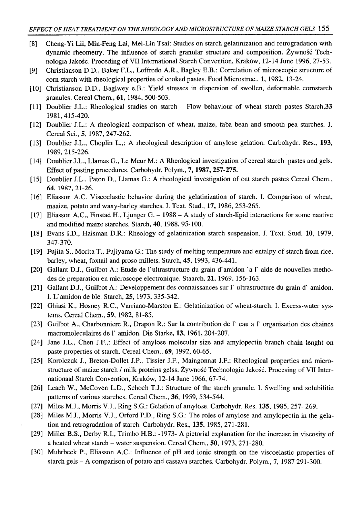- [8] Cheng-Yi Lii, Min-Feng Lai, Mei-Lin Tsai: Studies on starch gelatinization and retrogradation with dynamic rheometry. The influence of starch granular structure and composition. Żywność Technologia Jakość. Proceding of VII International Starch Convention, Kraków, 12-14 June 1996, 27-53.
- [9] Christianson D.D., Baker F.L., Loffredo A.R., Bagley E.B.: Correlation of microscopic structure of com starch with rheological properties of cooked pastes. Food Microstruc., 1, 1982, 13-24.
- [10] Christianson D.D., Baglwey e.B.: Yield stresses in dispersion of swollen, deformable cornstarch granules. Cereal Chem., **61,** 1984, 500-503.
- [11] Doublier J.L.: Rheological studies on starch Flow behaviour of wheat starch pastes Starch,**33** 1981,415-420.
- [12] Doublier J.L.: A rheological comparison of wheat, maize, faba bean and smooth pea starches. J. Cereal Sci., 5, 1987, 247-262.
- [13] Doublier J.L., Choplin L.,: A rheological description of amylose gelation. Carbohydr. Res., **193,** 1989, 215-226.
- [14] Doublier J.L., Llamas G., Le Meur M.: A Rheological investigation of cereal starch pastes and gels. Effect of pasting procedures. Carbohydr. Polym., **7,1987,257-275.**
- [15] Doublier J.L., Paton D., Llamas G.: A rheological investigation of oat starch pastes Cereal Chem., **64,** 1987, 21-26.
- [16] Eliasson A.C. Viscoelastic behavior during the gelatinization of starch. I. Comparison of wheat, maaize, potato and waxy-barley starches. J. Text. Stud., **17,** 1986, 253-265.
- [17] Eliasson A.C., Finstad H., Ljunger G. 1988 A study of starch-lipid interactions for some naative and modified maize starches. Starch, **40,** 1988, 95-100.
- [18] Evans I.D., Haisman D.R.: Rheology of gelatinization starch suspension. J. Text. Stud. **10,** 1979, 347-370.
- [19] Fujita S., Morita T., Fujiyama G.: The study of melting temperature and entalpy of starch from rice, barley, wheat, foxtail and proso millets. Starch, 45, 1993, 436-441.
- [20] Gallant D.J., Guilbot A.: Etude de ľ ultrastructure du grain d'amidon 'a ľ aide de nouvelles methodes de preparation en microscope electronique. Staarch, **21,** 1969, 156-163.
- [21] Gallant D.J., Guilbot A.: Developpement des connaissances sur l'ultrastructure du grain d'amidon. I. L'amidon de ble. Starch, **25,** 1973, 335-342.
- [22] Ghiasi K., Hosney R.C., Varriano-Marston E.: Gelatinization of wheat-starch. I. Excess-water systems. Cereal Chem., **59,** 1982, 81-85.
- [23] Guilbot A., Charbonniere R., Drapon R.: Sur la contribution de ľ eau a Г organisation des chaines macromoleculaires de ľ amidon. Die Starke, **13,** 1961, 204-207.
- [24] Jane J.L., Chen J.F.,: Effect of amylose molecular size and amylopectin branch chain lenght on paste properties of starch. Cereal Chem., **69,** 1992, 60-65.
- [25] Korolczuk J., Breton-Dollet J.P., Tissier J.F., Maingonnat J.F.: Rheological properties and microstructure of maize starch / milk proteins gelss. Żywność Technologia Jakość. Procesing of VII Internationaal Starch Convention, Kraków, 12-14 June 1966, 67-74.
- [26] Leach W., McCoven L.D., Schoch T.J.: Structure of the starch granule. I. Swelling and solubilitie patterns of various starches. Cereal Chem., 36, 1959, 534-544.
- [27] Miles M.J., Morris V.J., Ring S.G.: Gelation of amylose. Carbohydr. Res. 135, 1985, 257- 269.
- [28] Miles M.J., Morris V.J., Orford P.D., Ring S.G.: The roles of amylose and amylopectin in the gelation and retrogradation of starch. Carbohydr. Res., 135, 1985, 271-281.
- [29] Miller B.S., Derby R.I., Trimbo H.B.: -1973- A pictorial explanation for the increase in viscosity of a heated wheat starch - water suspension. Cereal Chem., **50,** 1973, 271-280.
- [30] Muhrbeck P., Eliasson A.C.: Influence of pH and ionic strength on the viscoelastic properties of starch gels - A comparison of potato and cassava starches. Carbohydr. Polym., **7,** 1987 291-300.